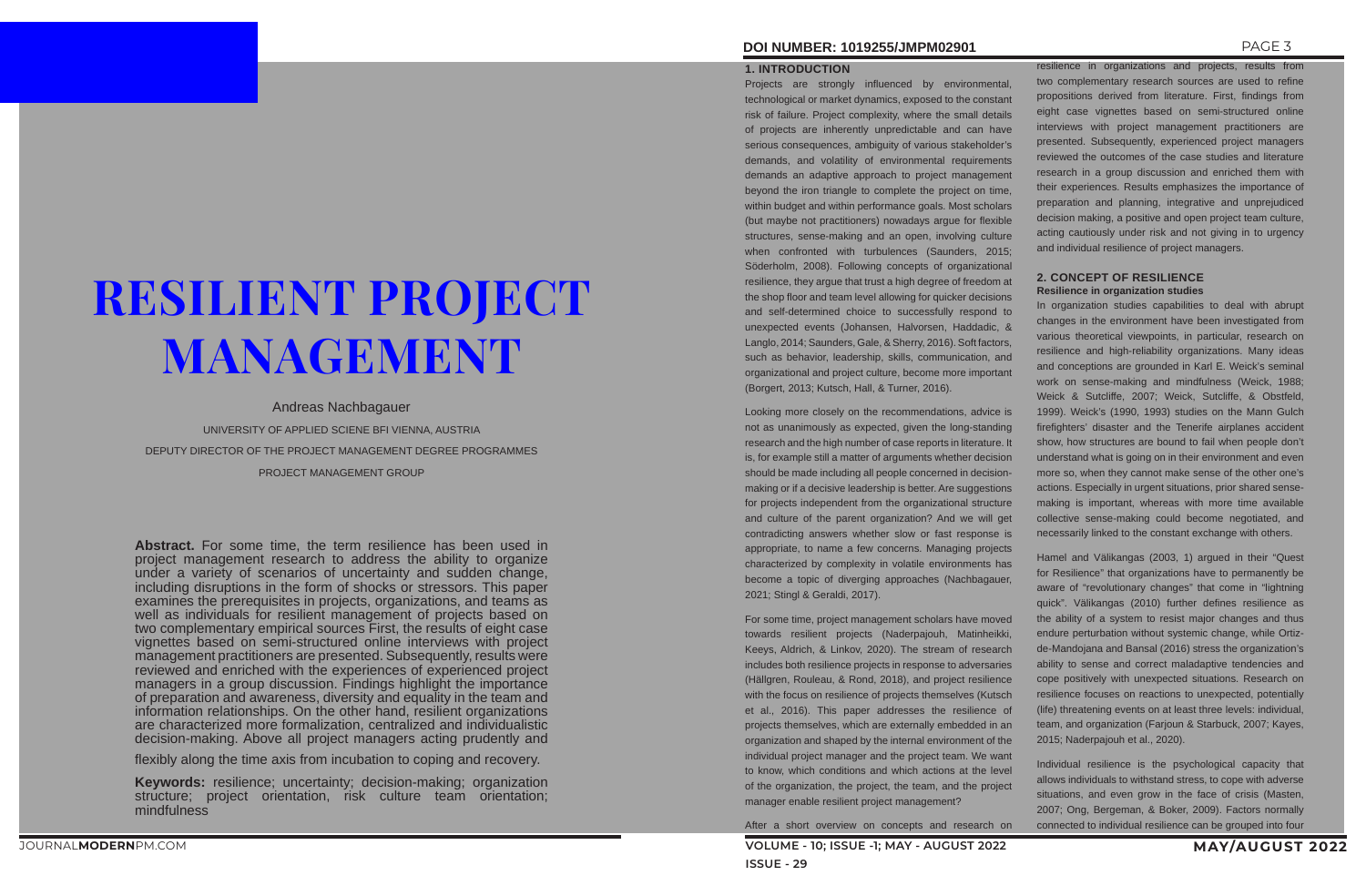# **DOI NUMBER: 1019255/JMPM02901** PAGE 3

# RESILIENT PROJECT MANAGEMENT

Andreas Nachbagauer

UNIVERSITY OF APPLIED SCIENE BFI VIENNA, AUSTRIA

DEPUTY DIRECTOR OF THE PROJECT MANAGEMENT DEGREE PROGRAMMES

PROJECT MANAGEMENT GROUP

**Abstract.** For some time, the term resilience has been used in project management research to address the ability to organize under a variety of scenarios of uncertainty and sudden change, including disruptions in the form of shocks or stressors. This paper examines the prerequisites in projects, organizations, and teams as well as individuals for resilient management of projects based on two complementary empirical sources First, the results of eight case vignettes based on semi-structured online interviews with project management practitioners are presented. Subsequently, results were reviewed and enriched with the experiences of experienced project managers in a group discussion. Findings highlight the importance of preparation and awareness, diversity and equality in the team and information relationships. On the other hand, resilient organizations are characterized more formalization, centralized and individualistic decision-making. Above all project managers acting prudently and

flexibly along the time axis from incubation to coping and recovery.

**Keywords:** resilience; uncertainty; decision-making; organization structure; project orientation, risk culture team orientation; mindfulness

# **1. INTRODUCTION**

Projects are strongly influenced by environmental, technological or market dynamics, exposed to the constant risk of failure. Project complexity, where the small details of projects are inherently unpredictable and can have serious consequences, ambiguity of various stakeholder's demands, and volatility of environmental requirements demands an adaptive approach to project management beyond the iron triangle to complete the project on time, within budget and within performance goals. Most scholars (but maybe not practitioners) nowadays argue for flexible structures, sense-making and an open, involving culture when confronted with turbulences (Saunders, 2015; Söderholm, 2008). Following concepts of organizational resilience, they argue that trust a high degree of freedom at the shop floor and team level allowing for quicker decisions and self-determined choice to successfully respond to unexpected events (Johansen, Halvorsen, Haddadic, & Langlo, 2014; Saunders, Gale, & Sherry, 2016). Soft factors, such as behavior, leadership, skills, communication, and organizational and project culture, become more important (Borgert, 2013; Kutsch, Hall, & Turner, 2016).

Looking more closely on the recommendations, advice is not as unanimously as expected, given the long-standing research and the high number of case reports in literature. It is, for example still a matter of arguments whether decision should be made including all people concerned in decisionmaking or if a decisive leadership is better. Are suggestions for projects independent from the organizational structure and culture of the parent organization? And we will get contradicting answers whether slow or fast response is appropriate, to name a few concerns. Managing projects characterized by complexity in volatile environments has become a topic of diverging approaches (Nachbagauer, 2021; Stingl & Geraldi, 2017).

For some time, project management scholars have moved towards resilient projects (Naderpajouh, Matinheikki, Keeys, Aldrich, & Linkov, 2020). The stream of research includes both resilience projects in response to adversaries (Hällgren, Rouleau, & Rond, 2018), and project resilience with the focus on resilience of projects themselves (Kutsch et al., 2016). This paper addresses the resilience of projects themselves, which are externally embedded in an organization and shaped by the internal environment of the individual project manager and the project team. We want to know, which conditions and which actions at the level of the organization, the project, the team, and the project manager enable resilient project management?

After a short overview on concepts and research on

resilience in organizations and projects, results from two complementary research sources are used to refine propositions derived from literature. First, findings from eight case vignettes based on semi-structured online interviews with project management practitioners are presented. Subsequently, experienced project managers reviewed the outcomes of the case studies and literature research in a group discussion and enriched them with their experiences. Results emphasizes the importance of preparation and planning, integrative and unprejudiced decision making, a positive and open project team culture, acting cautiously under risk and not giving in to urgency and individual resilience of project managers.

# **2. CONCEPT OF RESILIENCE Resilience in organization studies**

In organization studies capabilities to deal with abrupt changes in the environment have been investigated from various theoretical viewpoints, in particular, research on resilience and high-reliability organizations. Many ideas and conceptions are grounded in Karl E. Weick's seminal work on sense-making and mindfulness (Weick, 1988; Weick & Sutcliffe, 2007; Weick, Sutcliffe, & Obstfeld, 1999). Weick's (1990, 1993) studies on the Mann Gulch firefighters' disaster and the Tenerife airplanes accident show, how structures are bound to fail when people don't understand what is going on in their environment and even more so, when they cannot make sense of the other one's actions. Especially in urgent situations, prior shared sensemaking is important, whereas with more time available collective sense-making could become negotiated, and necessarily linked to the constant exchange with others.

Hamel and Välikangas (2003, 1) argued in their "Quest for Resilience" that organizations have to permanently be aware of "revolutionary changes" that come in "lightning quick". Välikangas (2010) further defines resilience as the ability of a system to resist major changes and thus endure perturbation without systemic change, while Ortizde-Mandojana and Bansal (2016) stress the organization's ability to sense and correct maladaptive tendencies and cope positively with unexpected situations. Research on resilience focuses on reactions to unexpected, potentially (life) threatening events on at least three levels: individual, team, and organization (Farjoun & Starbuck, 2007; Kayes, 2015; Naderpajouh et al., 2020).

Individual resilience is the psychological capacity that allows individuals to withstand stress, to cope with adverse situations, and even grow in the face of crisis (Masten, 2007; Ong, Bergeman, & Boker, 2009). Factors normally connected to individual resilience can be grouped into four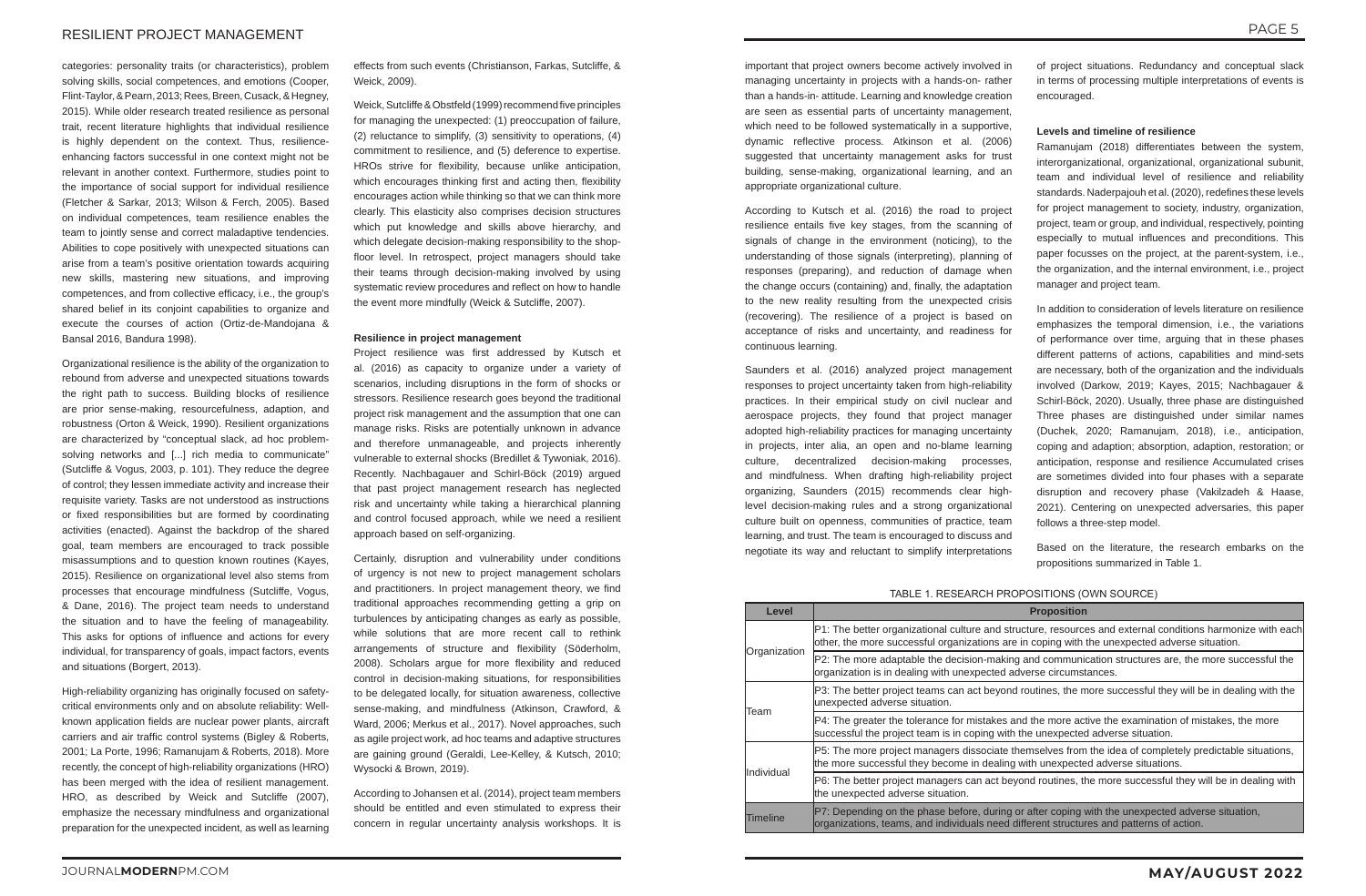categories: personality traits (or characteristics), problem solving skills, social competences, and emotions (Cooper, Flint-Taylor, & Pearn, 2013; Rees, Breen, Cusack, & Hegney, 2015). While older research treated resilience as personal trait, recent literature highlights that individual resilience is highly dependent on the context. Thus, resilienceenhancing factors successful in one context might not be relevant in another context. Furthermore, studies point to the importance of social support for individual resilience (Fletcher & Sarkar, 2013; Wilson & Ferch, 2005). Based on individual competences, team resilience enables the team to jointly sense and correct maladaptive tendencies. Abilities to cope positively with unexpected situations can arise from a team's positive orientation towards acquiring new skills, mastering new situations, and improving competences, and from collective efficacy, i.e., the group's shared belief in its conjoint capabilities to organize and execute the courses of action (Ortiz-de-Mandojana & Bansal 2016, Bandura 1998).

Organizational resilience is the ability of the organization to rebound from adverse and unexpected situations towards the right path to success. Building blocks of resilience are prior sense-making, resourcefulness, adaption, and robustness (Orton & Weick, 1990). Resilient organizations are characterized by "conceptual slack, ad hoc problemsolving networks and [...] rich media to communicate" (Sutcliffe & Vogus, 2003, p. 101). They reduce the degree of control; they lessen immediate activity and increase their requisite variety. Tasks are not understood as instructions or fixed responsibilities but are formed by coordinating activities (enacted). Against the backdrop of the shared goal, team members are encouraged to track possible misassumptions and to question known routines (Kayes, 2015). Resilience on organizational level also stems from processes that encourage mindfulness (Sutcliffe, Vogus, & Dane, 2016). The project team needs to understand the situation and to have the feeling of manageability. This asks for options of influence and actions for every individual, for transparency of goals, impact factors, events and situations (Borgert, 2013).

High-reliability organizing has originally focused on safetycritical environments only and on absolute reliability: Wellknown application fields are nuclear power plants, aircraft carriers and air traffic control systems (Bigley & Roberts, 2001; La Porte, 1996; Ramanujam & Roberts, 2018). More recently, the concept of high-reliability organizations (HRO) has been merged with the idea of resilient management. HRO, as described by Weick and Sutcliffe (2007), emphasize the necessary mindfulness and organizational preparation for the unexpected incident, as well as learning

effects from such events (Christianson, Farkas, Sutcliffe, & Weick, 2009).

Weick, Sutcliffe & Obstfeld (1999) recommend five principles for managing the unexpected: (1) preoccupation of failure, (2) reluctance to simplify, (3) sensitivity to operations, (4) commitment to resilience, and (5) deference to expertise. HROs strive for flexibility, because unlike anticipation, which encourages thinking first and acting then, flexibility encourages action while thinking so that we can think more clearly. This elasticity also comprises decision structures which put knowledge and skills above hierarchy, and which delegate decision-making responsibility to the shopfloor level. In retrospect, project managers should take their teams through decision-making involved by using systematic review procedures and reflect on how to handle the event more mindfully (Weick & Sutcliffe, 2007).

#### **Resilience in project management**

Project resilience was first addressed by Kutsch et al. (2016) as capacity to organize under a variety of scenarios, including disruptions in the form of shocks or stressors. Resilience research goes beyond the traditional project risk management and the assumption that one can manage risks. Risks are potentially unknown in advance and therefore unmanageable, and projects inherently vulnerable to external shocks (Bredillet & Tywoniak, 2016). Recently. Nachbagauer and Schirl-Böck (2019) argued that past project management research has neglected risk and uncertainty while taking a hierarchical planning and control focused approach, while we need a resilient approach based on self-organizing.

Certainly, disruption and vulnerability under conditions of urgency is not new to project management scholars and practitioners. In project management theory, we find traditional approaches recommending getting a grip on turbulences by anticipating changes as early as possible, while solutions that are more recent call to rethink arrangements of structure and flexibility (Söderholm, 2008). Scholars argue for more flexibility and reduced control in decision-making situations, for responsibilities to be delegated locally, for situation awareness, collective sense-making, and mindfulness (Atkinson, Crawford, & Ward, 2006; Merkus et al., 2017). Novel approaches, such as agile project work, ad hoc teams and adaptive structures are gaining ground (Geraldi, Lee-Kelley, & Kutsch, 2010; Wysocki & Brown, 2019).

According to Johansen et al. (2014), project team members should be entitled and even stimulated to express their concern in regular uncertainty analysis workshops. It is

important that project owners become actively involved in managing uncertainty in projects with a hands-on- rather than a hands-in- attitude. Learning and knowledge creation are seen as essential parts of uncertainty management, which need to be followed systematically in a supportive, dynamic reflective process. Atkinson et al. (2006) suggested that uncertainty management asks for trust building, sense-making, organizational learning, and an appropriate organizational culture.

According to Kutsch et al. (2016) the road to project resilience entails five key stages, from the scanning of signals of change in the environment (noticing), to the understanding of those signals (interpreting), planning of responses (preparing), and reduction of damage when the change occurs (containing) and, finally, the adaptation to the new reality resulting from the unexpected crisis (recovering). The resilience of a project is based on acceptance of risks and uncertainty, and readiness for continuous learning.

Saunders et al. (2016) analyzed project management responses to project uncertainty taken from high-reliability practices. In their empirical study on civil nuclear and aerospace projects, they found that project manager adopted high-reliability practices for managing uncertainty in projects, inter alia, an open and no-blame learning culture, decentralized decision-making processes, and mindfulness. When drafting high-reliability project organizing, Saunders (2015) recommends clear highlevel decision-making rules and a strong organizational culture built on openness, communities of practice, team learning, and trust. The team is encouraged to discuss and negotiate its way and reluctant to simplify interpretations of project situations. Redundancy and conceptual slack in terms of processing multiple interpretations of events is encouraged.

# **Levels and timeline of resilience**

Ramanujam (2018) differentiates between the system, interorganizational, organizational, organizational subunit, team and individual level of resilience and reliability standards. Naderpajouh et al. (2020), redefines these levels for project management to society, industry, organization, project, team or group, and individual, respectively, pointing especially to mutual influences and preconditions. This paper focusses on the project, at the parent-system, i.e., the organization, and the internal environment, i.e., project manager and project team.

In addition to consideration of levels literature on resilience emphasizes the temporal dimension, i.e., the variations of performance over time, arguing that in these phases different patterns of actions, capabilities and mind-sets are necessary, both of the organization and the individuals involved (Darkow, 2019; Kayes, 2015; Nachbagauer & Schirl-Böck, 2020). Usually, three phase are distinguished Three phases are distinguished under similar names (Duchek, 2020; Ramanujam, 2018), i.e., anticipation, coping and adaption; absorption, adaption, restoration; or anticipation, response and resilience Accumulated crises are sometimes divided into four phases with a separate disruption and recovery phase (Vakilzadeh & Haase, 2021). Centering on unexpected adversaries, this paper follows a three-step model.

Based on the literature, the research embarks on the propositions summarized in Table 1.

# TABLE 1. RESEARCH PROPOSITIONS (OWN SOURCE)

| Level        | <b>Proposition</b>                                                                                                                                                                                          |
|--------------|-------------------------------------------------------------------------------------------------------------------------------------------------------------------------------------------------------------|
| Organization | P1: The better organizational culture and structure, resources and external conditions harmonize with each<br>other, the more successful organizations are in coping with the unexpected adverse situation. |
|              | P2: The more adaptable the decision-making and communication structures are, the more successful the<br>organization is in dealing with unexpected adverse circumstances.                                   |
| Team         | P3: The better project teams can act beyond routines, the more successful they will be in dealing with the<br>unexpected adverse situation.                                                                 |
|              | P4: The greater the tolerance for mistakes and the more active the examination of mistakes, the more<br>successful the project team is in coping with the unexpected adverse situation.                     |
| Individual   | P5: The more project managers dissociate themselves from the idea of completely predictable situations,<br>the more successful they become in dealing with unexpected adverse situations.                   |
|              | P6: The better project managers can act beyond routines, the more successful they will be in dealing with<br>the unexpected adverse situation.                                                              |
| Timeline     | P7: Depending on the phase before, during or after coping with the unexpected adverse situation,<br>organizations, teams, and individuals need different structures and patterns of action.                 |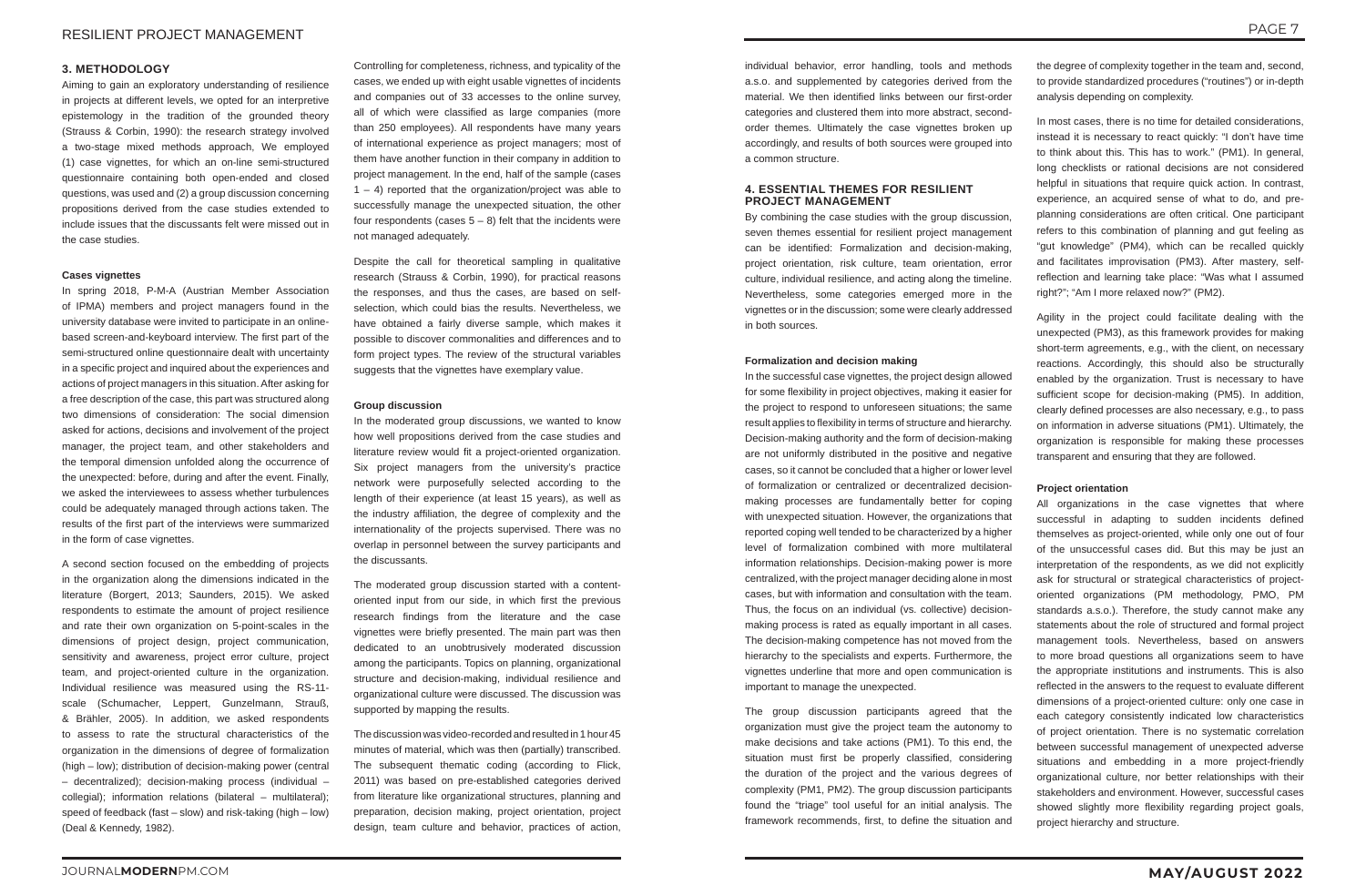# **3. METHODOLOGY**

Aiming to gain an exploratory understanding of resilience in projects at different levels, we opted for an interpretive epistemology in the tradition of the grounded theory (Strauss & Corbin, 1990): the research strategy involved a two-stage mixed methods approach, We employed (1) case vignettes, for which an on-line semi-structured questionnaire containing both open-ended and closed questions, was used and (2) a group discussion concerning propositions derived from the case studies extended to include issues that the discussants felt were missed out in the case studies.

# **Cases vignettes**

In spring 2018, P-M-A (Austrian Member Association of IPMA) members and project managers found in the university database were invited to participate in an onlinebased screen-and-keyboard interview. The first part of the semi-structured online questionnaire dealt with uncertainty in a specific project and inquired about the experiences and actions of project managers in this situation. After asking for a free description of the case, this part was structured along two dimensions of consideration: The social dimension asked for actions, decisions and involvement of the project manager, the project team, and other stakeholders and the temporal dimension unfolded along the occurrence of the unexpected: before, during and after the event. Finally, we asked the interviewees to assess whether turbulences could be adequately managed through actions taken. The results of the first part of the interviews were summarized in the form of case vignettes.

A second section focused on the embedding of projects in the organization along the dimensions indicated in the literature (Borgert, 2013; Saunders, 2015). We asked respondents to estimate the amount of project resilience and rate their own organization on 5-point-scales in the dimensions of project design, project communication, sensitivity and awareness, project error culture, project team, and project-oriented culture in the organization. Individual resilience was measured using the RS-11 scale (Schumacher, Leppert, Gunzelmann, Strauß, & Brähler, 2005). In addition, we asked respondents to assess to rate the structural characteristics of the organization in the dimensions of degree of formalization (high – low); distribution of decision-making power (central – decentralized); decision-making process (individual – collegial); information relations (bilateral – multilateral); speed of feedback (fast – slow) and risk-taking (high – low) (Deal & Kennedy, 1982).

Controlling for completeness, richness, and typicality of the cases, we ended up with eight usable vignettes of incidents and companies out of 33 accesses to the online survey, all of which were classified as large companies (more than 250 employees). All respondents have many years of international experience as project managers; most of them have another function in their company in addition to project management. In the end, half of the sample (cases  $1 - 4$ ) reported that the organization/project was able to successfully manage the unexpected situation, the other four respondents (cases  $5 - 8$ ) felt that the incidents were not managed adequately.

Despite the call for theoretical sampling in qualitative research (Strauss & Corbin, 1990), for practical reasons the responses, and thus the cases, are based on selfselection, which could bias the results. Nevertheless, we have obtained a fairly diverse sample, which makes it possible to discover commonalities and differences and to form project types. The review of the structural variables suggests that the vignettes have exemplary value.

# **Group discussion**

In the moderated group discussions, we wanted to know how well propositions derived from the case studies and literature review would fit a project-oriented organization. Six project managers from the university's practice network were purposefully selected according to the length of their experience (at least 15 years), as well as the industry affiliation, the degree of complexity and the internationality of the projects supervised. There was no overlap in personnel between the survey participants and the discussants.

The moderated group discussion started with a contentoriented input from our side, in which first the previous research findings from the literature and the case vignettes were briefly presented. The main part was then dedicated to an unobtrusively moderated discussion among the participants. Topics on planning, organizational structure and decision-making, individual resilience and organizational culture were discussed. The discussion was supported by mapping the results.

The discussion was video-recorded and resulted in 1 hour 45 minutes of material, which was then (partially) transcribed. The subsequent thematic coding (according to Flick, 2011) was based on pre-established categories derived from literature like organizational structures, planning and preparation, decision making, project orientation, project design, team culture and behavior, practices of action,

All organizations in the case vignettes that where successful in adapting to sudden incidents defined themselves as project-oriented, while only one out of four of the unsuccessful cases did. But this may be just an interpretation of the respondents, as we did not explicitly ask for structural or strategical characteristics of projectoriented organizations (PM methodology, PMO, PM standards a.s.o.). Therefore, the study cannot make any statements about the role of structured and formal project management tools. Nevertheless, based on answers to more broad questions all organizations seem to have the appropriate institutions and instruments. This is also reflected in the answers to the request to evaluate different dimensions of a project-oriented culture: only one case in each category consistently indicated low characteristics of project orientation. There is no systematic correlation between successful management of unexpected adverse situations and embedding in a more project-friendly organizational culture, nor better relationships with their stakeholders and environment. However, successful cases showed slightly more flexibility regarding project goals, project hierarchy and structure.

individual behavior, error handling, tools and methods a.s.o. and supplemented by categories derived from the material. We then identified links between our first-order categories and clustered them into more abstract, secondorder themes. Ultimately the case vignettes broken up accordingly, and results of both sources were grouped into a common structure.

# **4. ESSENTIAL THEMES FOR RESILIENT PROJECT MANAGEMENT**

By combining the case studies with the group discussion, seven themes essential for resilient project management can be identified: Formalization and decision-making, project orientation, risk culture, team orientation, error culture, individual resilience, and acting along the timeline. Nevertheless, some categories emerged more in the vignettes or in the discussion; some were clearly addressed in both sources.

# **Formalization and decision making**

In the successful case vignettes, the project design allowed for some flexibility in project objectives, making it easier for the project to respond to unforeseen situations; the same result applies to flexibility in terms of structure and hierarchy. Decision-making authority and the form of decision-making are not uniformly distributed in the positive and negative cases, so it cannot be concluded that a higher or lower level of formalization or centralized or decentralized decisionmaking processes are fundamentally better for coping with unexpected situation. However, the organizations that reported coping well tended to be characterized by a higher level of formalization combined with more multilateral information relationships. Decision-making power is more centralized, with the project manager deciding alone in most cases, but with information and consultation with the team. Thus, the focus on an individual (vs. collective) decisionmaking process is rated as equally important in all cases. The decision-making competence has not moved from the hierarchy to the specialists and experts. Furthermore, the vignettes underline that more and open communication is important to manage the unexpected.

The group discussion participants agreed that the organization must give the project team the autonomy to make decisions and take actions (PM1). To this end, the situation must first be properly classified, considering the duration of the project and the various degrees of complexity (PM1, PM2). The group discussion participants found the "triage" tool useful for an initial analysis. The framework recommends, first, to define the situation and

the degree of complexity together in the team and, second, to provide standardized procedures ("routines") or in-depth analysis depending on complexity.

In most cases, there is no time for detailed considerations, instead it is necessary to react quickly: "I don't have time to think about this. This has to work." (PM1). In general, long checklists or rational decisions are not considered helpful in situations that require quick action. In contrast, experience, an acquired sense of what to do, and preplanning considerations are often critical. One participant refers to this combination of planning and gut feeling as "gut knowledge" (PM4), which can be recalled quickly and facilitates improvisation (PM3). After mastery, selfreflection and learning take place: "Was what I assumed right?"; "Am I more relaxed now?" (PM2).

Agility in the project could facilitate dealing with the unexpected (PM3), as this framework provides for making short-term agreements, e.g., with the client, on necessary reactions. Accordingly, this should also be structurally enabled by the organization. Trust is necessary to have sufficient scope for decision-making (PM5). In addition, clearly defined processes are also necessary, e.g., to pass on information in adverse situations (PM1). Ultimately, the organization is responsible for making these processes transparent and ensuring that they are followed.

# **Project orientation**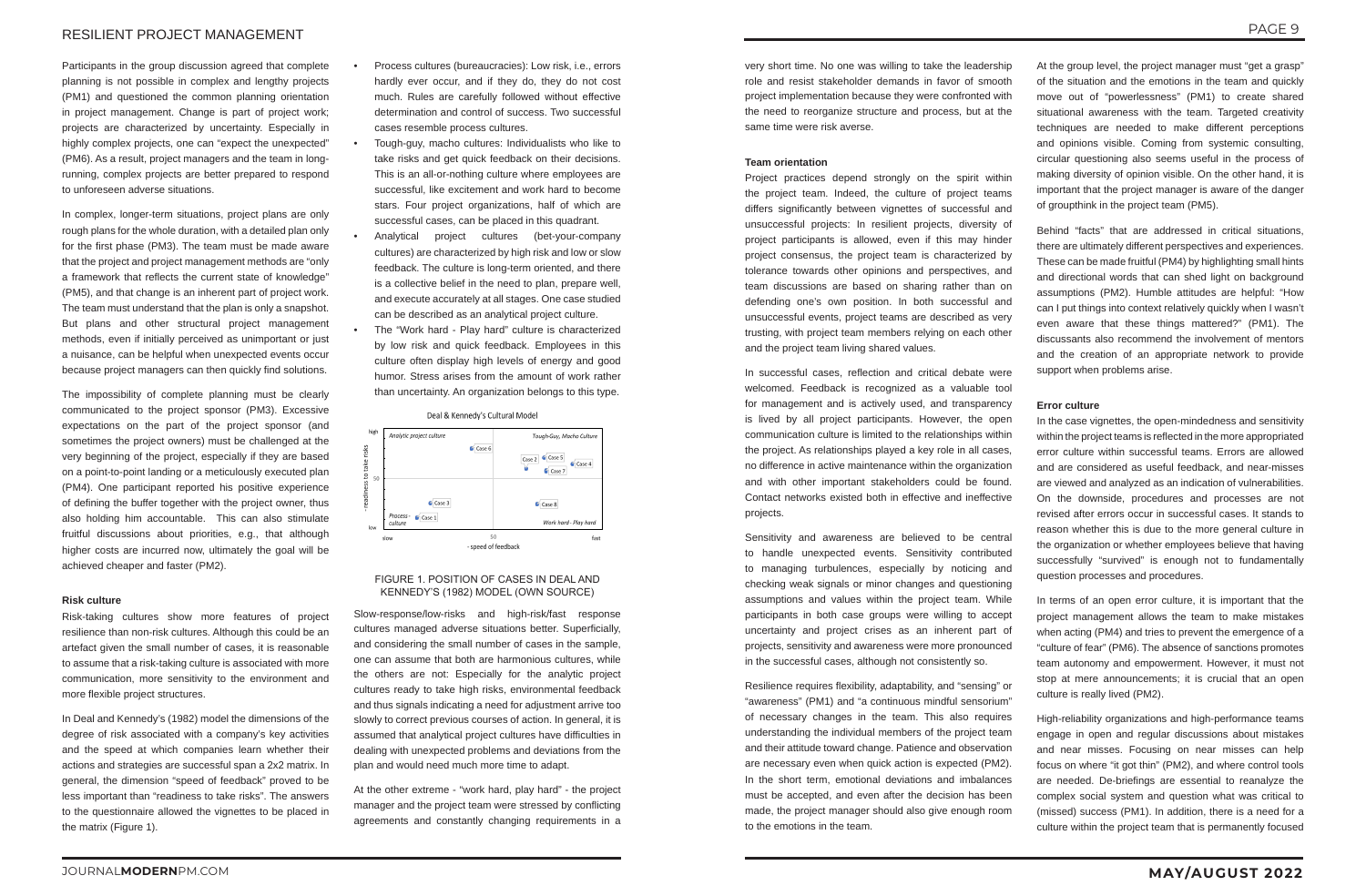PAGE 9

# JOURNAL**MODERN**PM.COM **MAY/AUGUST 2022**

# RESILIENT PROJECT MANAGEMENT

Participants in the group discussion agreed that complete planning is not possible in complex and lengthy projects (PM1) and questioned the common planning orientation in project management. Change is part of project work; projects are characterized by uncertainty. Especially in highly complex projects, one can "expect the unexpected" (PM6). As a result, project managers and the team in longrunning, complex projects are better prepared to respond to unforeseen adverse situations.

In complex, longer-term situations, project plans are only rough plans for the whole duration, with a detailed plan only for the first phase (PM3). The team must be made aware that the project and project management methods are "only a framework that reflects the current state of knowledge" (PM5), and that change is an inherent part of project work. The team must understand that the plan is only a snapshot. But plans and other structural project management methods, even if initially perceived as unimportant or just a nuisance, can be helpful when unexpected events occur because project managers can then quickly find solutions.

The impossibility of complete planning must be clearly communicated to the project sponsor (PM3). Excessive expectations on the part of the project sponsor (and sometimes the project owners) must be challenged at the very beginning of the project, especially if they are based on a point-to-point landing or a meticulously executed plan (PM4). One participant reported his positive experience of defining the buffer together with the project owner, thus also holding him accountable. This can also stimulate fruitful discussions about priorities, e.g., that although higher costs are incurred now, ultimately the goal will be achieved cheaper and faster (PM2).

### **Risk culture**

Risk-taking cultures show more features of project resilience than non-risk cultures. Although this could be an artefact given the small number of cases, it is reasonable to assume that a risk-taking culture is associated with more communication, more sensitivity to the environment and more flexible project structures.

In Deal and Kennedy's (1982) model the dimensions of the degree of risk associated with a company's key activities and the speed at which companies learn whether their actions and strategies are successful span a 2x2 matrix. In general, the dimension "speed of feedback" proved to be less important than "readiness to take risks". The answers to the questionnaire allowed the vignettes to be placed in the matrix (Figure 1).

- Process cultures (bureaucracies): Low risk, i.e., errors hardly ever occur, and if they do, they do not cost much. Rules are carefully followed without effective determination and control of success. Two successful cases resemble process cultures.
- Tough-guy, macho cultures: Individualists who like to take risks and get quick feedback on their decisions. This is an all-or-nothing culture where employees are successful, like excitement and work hard to become stars. Four project organizations, half of which are successful cases, can be placed in this quadrant.
- Analytical project cultures (bet-your-company cultures) are characterized by high risk and low or slow feedback. The culture is long-term oriented, and there is a collective belief in the need to plan, prepare well, and execute accurately at all stages. One case studied can be described as an analytical project culture.
- The "Work hard Play hard" culture is characterized by low risk and quick feedback. Employees in this culture often display high levels of energy and good humor. Stress arises from the amount of work rather than uncertainty. An organization belongs to this type.

Deal & Kennedy's Cultural Model



## FIGURE 1. POSITION OF CASES IN DEAL AND KENNEDY'S (1982) MODEL (OWN SOURCE)

Slow-response/low-risks and high-risk/fast response cultures managed adverse situations better. Superficially, and considering the small number of cases in the sample, one can assume that both are harmonious cultures, while the others are not: Especially for the analytic project cultures ready to take high risks, environmental feedback and thus signals indicating a need for adjustment arrive too slowly to correct previous courses of action. In general, it is assumed that analytical project cultures have difficulties in dealing with unexpected problems and deviations from the plan and would need much more time to adapt.

At the other extreme - "work hard, play hard" - the project manager and the project team were stressed by conflicting agreements and constantly changing requirements in a

very short time. No one was willing to take the leadership role and resist stakeholder demands in favor of smooth project implementation because they were confronted with the need to reorganize structure and process, but at the same time were risk averse.

#### **Team orientation**

Project practices depend strongly on the spirit within the project team. Indeed, the culture of project teams differs significantly between vignettes of successful and unsuccessful projects: In resilient projects, diversity of project participants is allowed, even if this may hinder project consensus, the project team is characterized by tolerance towards other opinions and perspectives, and team discussions are based on sharing rather than on defending one's own position. In both successful and unsuccessful events, project teams are described as very trusting, with project team members relying on each other and the project team living shared values.

In successful cases, reflection and critical debate were welcomed. Feedback is recognized as a valuable tool for management and is actively used, and transparency is lived by all project participants. However, the open communication culture is limited to the relationships within the project. As relationships played a key role in all cases, no difference in active maintenance within the organization and with other important stakeholders could be found. Contact networks existed both in effective and ineffective projects.

Sensitivity and awareness are believed to be central to handle unexpected events. Sensitivity contributed to managing turbulences, especially by noticing and checking weak signals or minor changes and questioning assumptions and values within the project team. While participants in both case groups were willing to accept uncertainty and project crises as an inherent part of projects, sensitivity and awareness were more pronounced in the successful cases, although not consistently so.

Resilience requires flexibility, adaptability, and "sensing" or "awareness" (PM1) and "a continuous mindful sensorium" of necessary changes in the team. This also requires understanding the individual members of the project team and their attitude toward change. Patience and observation are necessary even when quick action is expected (PM2). In the short term, emotional deviations and imbalances must be accepted, and even after the decision has been made, the project manager should also give enough room to the emotions in the team.

At the group level, the project manager must "get a grasp" of the situation and the emotions in the team and quickly move out of "powerlessness" (PM1) to create shared situational awareness with the team. Targeted creativity techniques are needed to make different perceptions and opinions visible. Coming from systemic consulting, circular questioning also seems useful in the process of making diversity of opinion visible. On the other hand, it is important that the project manager is aware of the danger of groupthink in the project team (PM5).

Behind "facts" that are addressed in critical situations, there are ultimately different perspectives and experiences. These can be made fruitful (PM4) by highlighting small hints and directional words that can shed light on background assumptions (PM2). Humble attitudes are helpful: "How can I put things into context relatively quickly when I wasn't even aware that these things mattered?" (PM1). The discussants also recommend the involvement of mentors and the creation of an appropriate network to provide support when problems arise.

# **Error culture**

In the case vignettes, the open-mindedness and sensitivity within the project teams is reflected in the more appropriated error culture within successful teams. Errors are allowed and are considered as useful feedback, and near-misses are viewed and analyzed as an indication of vulnerabilities. On the downside, procedures and processes are not revised after errors occur in successful cases. It stands to reason whether this is due to the more general culture in the organization or whether employees believe that having successfully "survived" is enough not to fundamentally question processes and procedures.

In terms of an open error culture, it is important that the project management allows the team to make mistakes when acting (PM4) and tries to prevent the emergence of a "culture of fear" (PM6). The absence of sanctions promotes team autonomy and empowerment. However, it must not stop at mere announcements; it is crucial that an open culture is really lived (PM2).

High-reliability organizations and high-performance teams engage in open and regular discussions about mistakes and near misses. Focusing on near misses can help focus on where "it got thin" (PM2), and where control tools are needed. De-briefings are essential to reanalyze the complex social system and question what was critical to (missed) success (PM1). In addition, there is a need for a culture within the project team that is permanently focused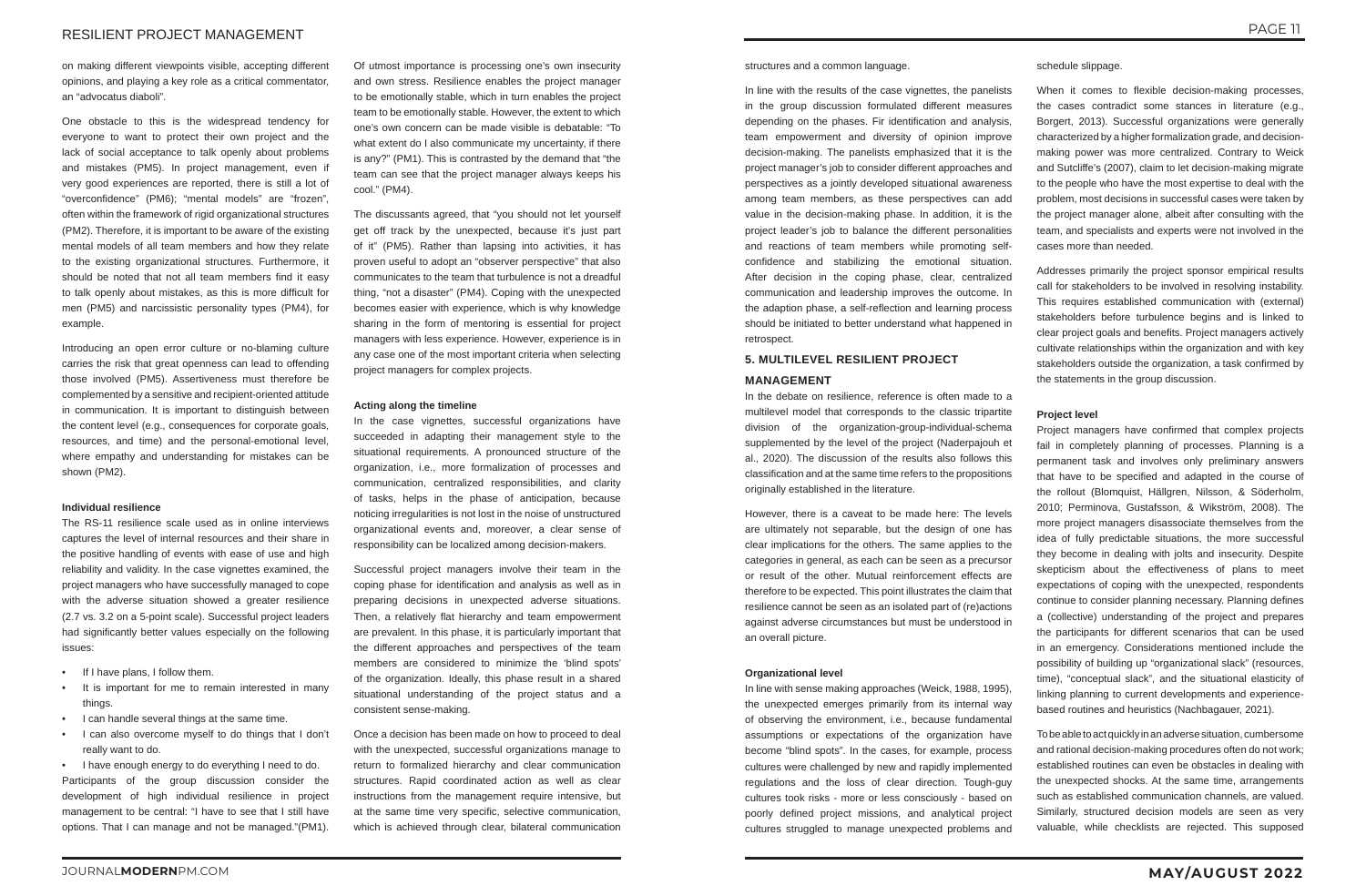# RESILIENT PROJECT MANAGEMENT

on making different viewpoints visible, accepting different opinions, and playing a key role as a critical commentator, an "advocatus diaboli".

One obstacle to this is the widespread tendency for everyone to want to protect their own project and the lack of social acceptance to talk openly about problems and mistakes (PM5). In project management, even if very good experiences are reported, there is still a lot of "overconfidence" (PM6); "mental models" are "frozen", often within the framework of rigid organizational structures (PM2). Therefore, it is important to be aware of the existing mental models of all team members and how they relate to the existing organizational structures. Furthermore, it should be noted that not all team members find it easy to talk openly about mistakes, as this is more difficult for men (PM5) and narcissistic personality types (PM4), for example.

- If I have plans, I follow them.
- It is important for me to remain interested in many things.
- I can handle several things at the same time.
- I can also overcome myself to do things that I don't really want to do.

Introducing an open error culture or no-blaming culture carries the risk that great openness can lead to offending those involved (PM5). Assertiveness must therefore be complemented by a sensitive and recipient-oriented attitude in communication. It is important to distinguish between the content level (e.g., consequences for corporate goals, resources, and time) and the personal-emotional level, where empathy and understanding for mistakes can be shown (PM2).

#### **Individual resilience**

The RS-11 resilience scale used as in online interviews captures the level of internal resources and their share in the positive handling of events with ease of use and high reliability and validity. In the case vignettes examined, the project managers who have successfully managed to cope with the adverse situation showed a greater resilience (2.7 vs. 3.2 on a 5-point scale). Successful project leaders had significantly better values especially on the following issues:

• I have enough energy to do everything I need to do. Participants of the group discussion consider the development of high individual resilience in project management to be central: "I have to see that I still have options. That I can manage and not be managed."(PM1).

Of utmost importance is processing one's own insecurity and own stress. Resilience enables the project manager to be emotionally stable, which in turn enables the project team to be emotionally stable. However, the extent to which one's own concern can be made visible is debatable: "To what extent do I also communicate my uncertainty, if there is any?" (PM1). This is contrasted by the demand that "the team can see that the project manager always keeps his cool." (PM4).

The discussants agreed, that "you should not let yourself get off track by the unexpected, because it's just part of it" (PM5). Rather than lapsing into activities, it has proven useful to adopt an "observer perspective" that also communicates to the team that turbulence is not a dreadful thing, "not a disaster" (PM4). Coping with the unexpected becomes easier with experience, which is why knowledge sharing in the form of mentoring is essential for project managers with less experience. However, experience is in any case one of the most important criteria when selecting project managers for complex projects.

#### **Acting along the timeline**

In the case vignettes, successful organizations have succeeded in adapting their management style to the situational requirements. A pronounced structure of the organization, i.e., more formalization of processes and communication, centralized responsibilities, and clarity of tasks, helps in the phase of anticipation, because noticing irregularities is not lost in the noise of unstructured organizational events and, moreover, a clear sense of responsibility can be localized among decision-makers.

When it comes to flexible decision-making processes. the cases contradict some stances in literature (e.g., Borgert, 2013). Successful organizations were generally characterized by a higher formalization grade, and decisionmaking power was more centralized. Contrary to Weick and Sutcliffe's (2007), claim to let decision-making migrate to the people who have the most expertise to deal with the problem, most decisions in successful cases were taken by the project manager alone, albeit after consulting with the team, and specialists and experts were not involved in the cases more than needed.

Successful project managers involve their team in the coping phase for identification and analysis as well as in preparing decisions in unexpected adverse situations. Then, a relatively flat hierarchy and team empowerment are prevalent. In this phase, it is particularly important that the different approaches and perspectives of the team members are considered to minimize the 'blind spots' of the organization. Ideally, this phase result in a shared situational understanding of the project status and a consistent sense-making.

Once a decision has been made on how to proceed to deal with the unexpected, successful organizations manage to return to formalized hierarchy and clear communication structures. Rapid coordinated action as well as clear instructions from the management require intensive, but at the same time very specific, selective communication, which is achieved through clear, bilateral communication

structures and a common language.

In line with the results of the case vignettes, the panelists in the group discussion formulated different measures depending on the phases. Fir identification and analysis, team empowerment and diversity of opinion improve decision-making. The panelists emphasized that it is the project manager's job to consider different approaches and perspectives as a jointly developed situational awareness among team members, as these perspectives can add value in the decision-making phase. In addition, it is the project leader's job to balance the different personalities and reactions of team members while promoting selfconfidence and stabilizing the emotional situation. After decision in the coping phase, clear, centralized communication and leadership improves the outcome. In the adaption phase, a self-reflection and learning process should be initiated to better understand what happened in retrospect.

# **5. MULTILEVEL RESILIENT PROJECT**

# **MANAGEMENT**

In the debate on resilience, reference is often made to a multilevel model that corresponds to the classic tripartite division of the organization-group-individual-schema supplemented by the level of the project (Naderpajouh et al., 2020). The discussion of the results also follows this classification and at the same time refers to the propositions originally established in the literature.

However, there is a caveat to be made here: The levels are ultimately not separable, but the design of one has clear implications for the others. The same applies to the categories in general, as each can be seen as a precursor or result of the other. Mutual reinforcement effects are therefore to be expected. This point illustrates the claim that resilience cannot be seen as an isolated part of (re)actions against adverse circumstances but must be understood in an overall picture.

#### **Organizational level**

In line with sense making approaches (Weick, 1988, 1995), the unexpected emerges primarily from its internal way of observing the environment, i.e., because fundamental assumptions or expectations of the organization have become "blind spots". In the cases, for example, process cultures were challenged by new and rapidly implemented regulations and the loss of clear direction. Tough-guy cultures took risks - more or less consciously - based on poorly defined project missions, and analytical project cultures struggled to manage unexpected problems and

schedule slippage.

Addresses primarily the project sponsor empirical results call for stakeholders to be involved in resolving instability. This requires established communication with (external) stakeholders before turbulence begins and is linked to clear project goals and benefits. Project managers actively cultivate relationships within the organization and with key stakeholders outside the organization, a task confirmed by the statements in the group discussion.

### **Project level**

Project managers have confirmed that complex projects fail in completely planning of processes. Planning is a permanent task and involves only preliminary answers that have to be specified and adapted in the course of the rollout (Blomquist, Hällgren, Nilsson, & Söderholm, 2010; Perminova, Gustafsson, & Wikström, 2008). The more project managers disassociate themselves from the idea of fully predictable situations, the more successful they become in dealing with jolts and insecurity. Despite skepticism about the effectiveness of plans to meet expectations of coping with the unexpected, respondents continue to consider planning necessary. Planning defines a (collective) understanding of the project and prepares the participants for different scenarios that can be used in an emergency. Considerations mentioned include the possibility of building up "organizational slack" (resources, time), "conceptual slack", and the situational elasticity of linking planning to current developments and experiencebased routines and heuristics (Nachbagauer, 2021).

To be able to act quickly in an adverse situation, cumbersome and rational decision-making procedures often do not work; established routines can even be obstacles in dealing with the unexpected shocks. At the same time, arrangements such as established communication channels, are valued. Similarly, structured decision models are seen as very valuable, while checklists are rejected. This supposed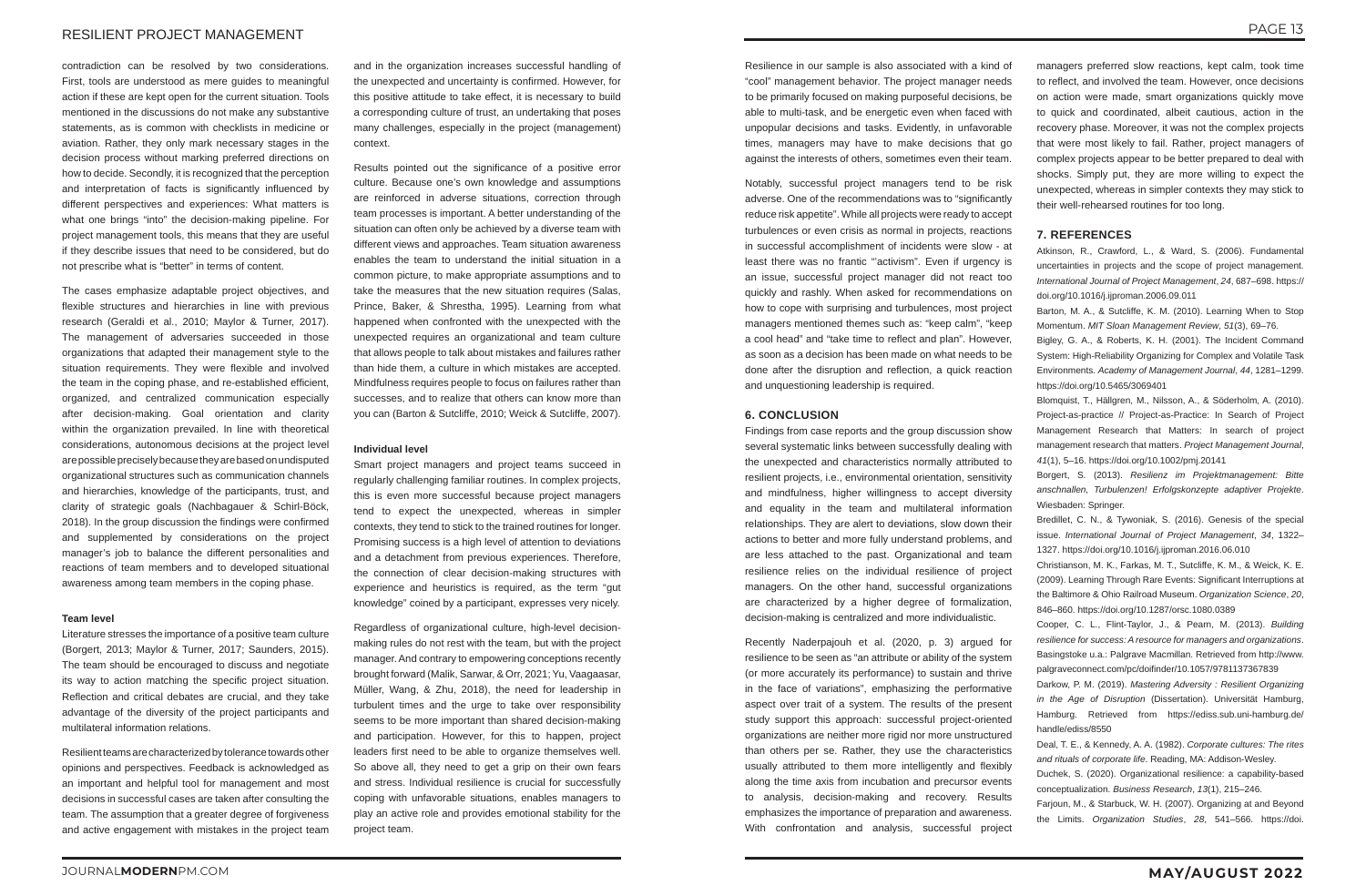# RESILIENT PROJECT MANAGEMENT

contradiction can be resolved by two considerations. First, tools are understood as mere guides to meaningful action if these are kept open for the current situation. Tools mentioned in the discussions do not make any substantive statements, as is common with checklists in medicine or aviation. Rather, they only mark necessary stages in the decision process without marking preferred directions on how to decide. Secondly, it is recognized that the perception and interpretation of facts is significantly influenced by different perspectives and experiences: What matters is what one brings "into" the decision-making pipeline. For project management tools, this means that they are useful if they describe issues that need to be considered, but do not prescribe what is "better" in terms of content.

The cases emphasize adaptable project objectives, and flexible structures and hierarchies in line with previous research (Geraldi et al., 2010; Maylor & Turner, 2017). The management of adversaries succeeded in those organizations that adapted their management style to the situation requirements. They were flexible and involved the team in the coping phase, and re-established efficient, organized, and centralized communication especially after decision-making. Goal orientation and clarity within the organization prevailed. In line with theoretical considerations, autonomous decisions at the project level are possible precisely because they are based on undisputed organizational structures such as communication channels and hierarchies, knowledge of the participants, trust, and clarity of strategic goals (Nachbagauer & Schirl-Böck, 2018). In the group discussion the findings were confirmed and supplemented by considerations on the project manager's job to balance the different personalities and reactions of team members and to developed situational awareness among team members in the coping phase.

#### **Team level**

Literature stresses the importance of a positive team culture (Borgert, 2013; Maylor & Turner, 2017; Saunders, 2015). The team should be encouraged to discuss and negotiate its way to action matching the specific project situation. Reflection and critical debates are crucial, and they take advantage of the diversity of the project participants and multilateral information relations.

Resilient teams are characterized by tolerance towards other opinions and perspectives. Feedback is acknowledged as an important and helpful tool for management and most decisions in successful cases are taken after consulting the team. The assumption that a greater degree of forgiveness and active engagement with mistakes in the project team

and in the organization increases successful handling of the unexpected and uncertainty is confirmed. However, for this positive attitude to take effect, it is necessary to build a corresponding culture of trust, an undertaking that poses many challenges, especially in the project (management) context.

Results pointed out the significance of a positive error culture. Because one's own knowledge and assumptions are reinforced in adverse situations, correction through team processes is important. A better understanding of the situation can often only be achieved by a diverse team with different views and approaches. Team situation awareness enables the team to understand the initial situation in a common picture, to make appropriate assumptions and to take the measures that the new situation requires (Salas, Prince, Baker, & Shrestha, 1995). Learning from what happened when confronted with the unexpected with the unexpected requires an organizational and team culture that allows people to talk about mistakes and failures rather than hide them, a culture in which mistakes are accepted. Mindfulness requires people to focus on failures rather than successes, and to realize that others can know more than you can (Barton & Sutcliffe, 2010; Weick & Sutcliffe, 2007).

#### **Individual level**

Smart project managers and project teams succeed in regularly challenging familiar routines. In complex projects, this is even more successful because project managers tend to expect the unexpected, whereas in simpler contexts, they tend to stick to the trained routines for longer. Promising success is a high level of attention to deviations and a detachment from previous experiences. Therefore, the connection of clear decision-making structures with experience and heuristics is required, as the term "gut knowledge" coined by a participant, expresses very nicely.

Regardless of organizational culture, high-level decisionmaking rules do not rest with the team, but with the project manager. And contrary to empowering conceptions recently brought forward (Malik, Sarwar, & Orr, 2021; Yu, Vaagaasar, Müller, Wang, & Zhu, 2018), the need for leadership in turbulent times and the urge to take over responsibility seems to be more important than shared decision-making and participation. However, for this to happen, project leaders first need to be able to organize themselves well. So above all, they need to get a grip on their own fears and stress. Individual resilience is crucial for successfully coping with unfavorable situations, enables managers to play an active role and provides emotional stability for the project team.

Resilience in our sample is also associated with a kind of "cool" management behavior. The project manager needs to be primarily focused on making purposeful decisions, be able to multi-task, and be energetic even when faced with unpopular decisions and tasks. Evidently, in unfavorable times, managers may have to make decisions that go against the interests of others, sometimes even their team.

Notably, successful project managers tend to be risk adverse. One of the recommendations was to "significantly reduce risk appetite". While all projects were ready to accept turbulences or even crisis as normal in projects, reactions in successful accomplishment of incidents were slow - at least there was no frantic "activism". Even if urgency is an issue, successful project manager did not react too quickly and rashly. When asked for recommendations on how to cope with surprising and turbulences, most project managers mentioned themes such as: "keep calm", "keep a cool head" and "take time to reflect and plan". However, as soon as a decision has been made on what needs to be done after the disruption and reflection, a quick reaction and unquestioning leadership is required.

#### **6. CONCLUSION**

Findings from case reports and the group discussion show several systematic links between successfully dealing with the unexpected and characteristics normally attributed to resilient projects, i.e., environmental orientation, sensitivity and mindfulness, higher willingness to accept diversity and equality in the team and multilateral information relationships. They are alert to deviations, slow down their actions to better and more fully understand problems, and are less attached to the past. Organizational and team resilience relies on the individual resilience of project managers. On the other hand, successful organizations are characterized by a higher degree of formalization, decision-making is centralized and more individualistic.

Recently Naderpajouh et al. (2020, p. 3) argued for resilience to be seen as "an attribute or ability of the system (or more accurately its performance) to sustain and thrive in the face of variations", emphasizing the performative aspect over trait of a system. The results of the present study support this approach: successful project-oriented organizations are neither more rigid nor more unstructured than others per se. Rather, they use the characteristics usually attributed to them more intelligently and flexibly along the time axis from incubation and precursor events to analysis, decision-making and recovery. Results emphasizes the importance of preparation and awareness. With confrontation and analysis, successful project

managers preferred slow reactions, kept calm, took time to reflect, and involved the team. However, once decisions on action were made, smart organizations quickly move to quick and coordinated, albeit cautious, action in the recovery phase. Moreover, it was not the complex projects that were most likely to fail. Rather, project managers of complex projects appear to be better prepared to deal with shocks. Simply put, they are more willing to expect the unexpected, whereas in simpler contexts they may stick to their well-rehearsed routines for too long.

# **7. REFERENCES**

Atkinson, R., Crawford, L., & Ward, S. (2006). Fundamental uncertainties in projects and the scope of project management. *International Journal of Project Management*, *24*, 687–698. https:// doi.org/10.1016/j.ijproman.2006.09.011

Barton, M. A., & Sutcliffe, K. M. (2010). Learning When to Stop Momentum. *MIT Sloan Management Review*, *51*(3), 69–76.

Bigley, G. A., & Roberts, K. H. (2001). The Incident Command System: High-Reliability Organizing for Complex and Volatile Task Environments. *Academy of Management Journal*, *44*, 1281–1299. https://doi.org/10.5465/3069401

Blomquist, T., Hällgren, M., Nilsson, A., & Söderholm, A. (2010). Project-as-practice // Project-as-Practice: In Search of Project Management Research that Matters: In search of project management research that matters. *Project Management Journal*, *41*(1), 5–16. https://doi.org/10.1002/pmj.20141

Borgert, S. (2013). *Resilienz im Projektmanagement: Bitte anschnallen, Turbulenzen! Erfolgskonzepte adaptiver Projekte*. Wiesbaden: Springer.

Bredillet, C. N., & Tywoniak, S. (2016). Genesis of the special issue. *International Journal of Project Management*, *34*, 1322– 1327. https://doi.org/10.1016/j.ijproman.2016.06.010

Christianson, M. K., Farkas, M. T., Sutcliffe, K. M., & Weick, K. E. (2009). Learning Through Rare Events: Significant Interruptions at the Baltimore & Ohio Railroad Museum. *Organization Science*, *20*, 846–860. https://doi.org/10.1287/orsc.1080.0389

Cooper, C. L., Flint-Taylor, J., & Pearn, M. (2013). *Building resilience for success: A resource for managers and organizations*. Basingstoke u.a.: Palgrave Macmillan. Retrieved from http://www. palgraveconnect.com/pc/doifinder/10.1057/9781137367839

Darkow, P. M. (2019). *Mastering Adversity : Resilient Organizing in the Age of Disruption* (Dissertation). Universität Hamburg, Hamburg. Retrieved from https://ediss.sub.uni-hamburg.de/ handle/ediss/8550

Deal, T. E., & Kennedy, A. A. (1982). *Corporate cultures: The rites and rituals of corporate life*. Reading, MA: Addison-Wesley.

Duchek, S. (2020). Organizational resilience: a capability-based conceptualization. *Business Research*, *13*(1), 215–246.

Farjoun, M., & Starbuck, W. H. (2007). Organizing at and Beyond the Limits. *Organization Studies*, *28*, 541–566. https://doi.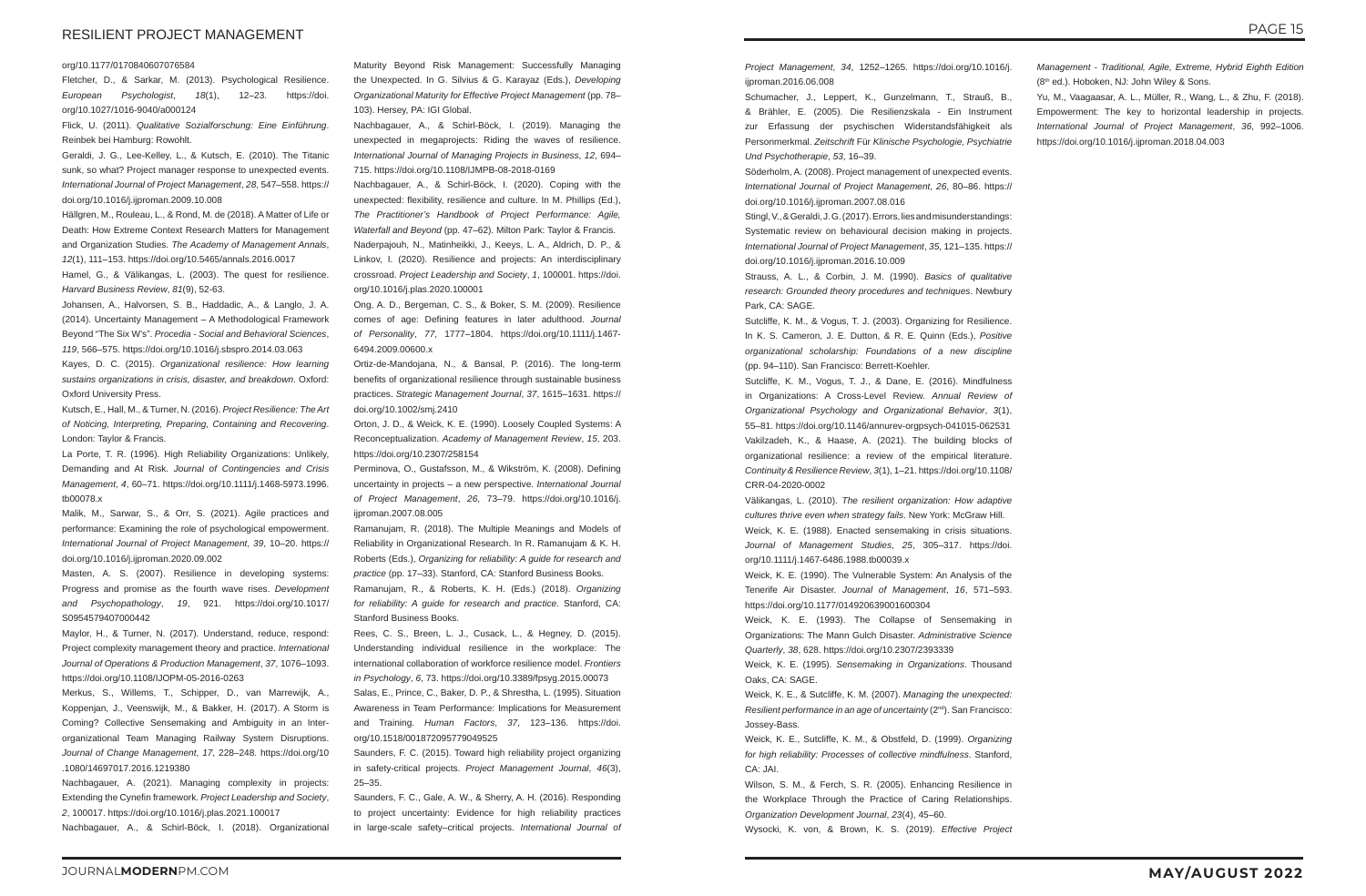# RESILIENT PROJECT MANAGEMENT

#### org/10.1177/0170840607076584

Fletcher, D., & Sarkar, M. (2013). Psychological Resilience. *European Psychologist*, *18*(1), 12–23. https://doi. org/10.1027/1016-9040/a000124

Flick, U. (2011). *Qualitative Sozialforschung: Eine Einführung*. Reinbek bei Hamburg: Rowohlt.

Geraldi, J. G., Lee-Kelley, L., & Kutsch, E. (2010). The Titanic sunk, so what? Project manager response to unexpected events. *International Journal of Project Management*, *28*, 547–558. https:// doi.org/10.1016/j.ijproman.2009.10.008

Hällgren, M., Rouleau, L., & Rond, M. de (2018). A Matter of Life or Death: How Extreme Context Research Matters for Management and Organization Studies. *The Academy of Management Annals*, *12*(1), 111–153. https://doi.org/10.5465/annals.2016.0017

Hamel, G., & Välikangas, L. (2003). The quest for resilience. *Harvard Business Review*, *81*(9), 52-63.

Johansen, A., Halvorsen, S. B., Haddadic, A., & Langlo, J. A. (2014). Uncertainty Management – A Methodological Framework Beyond "The Six W's". *Procedia - Social and Behavioral Sciences*, *119*, 566–575. https://doi.org/10.1016/j.sbspro.2014.03.063

Kayes, D. C. (2015). *Organizational resilience: How learning sustains organizations in crisis, disaster, and breakdown*. Oxford: Oxford University Press.

Kutsch, E., Hall, M., & Turner, N. (2016). *Project Resilience: The Art of Noticing, Interpreting, Preparing, Containing and Recovering*. London: Taylor & Francis.

La Porte, T. R. (1996). High Reliability Organizations: Unlikely, Demanding and At Risk. *Journal of Contingencies and Crisis Management*, *4*, 60–71. https://doi.org/10.1111/j.1468-5973.1996. tb00078.x

Malik, M., Sarwar, S., & Orr, S. (2021). Agile practices and performance: Examining the role of psychological empowerment. *International Journal of Project Management*, *39*, 10–20. https:// doi.org/10.1016/j.ijproman.2020.09.002

Masten, A. S. (2007). Resilience in developing systems: Progress and promise as the fourth wave rises. *Development and Psychopathology*, *19*, 921. https://doi.org/10.1017/ S0954579407000442

Maylor, H., & Turner, N. (2017). Understand, reduce, respond: Project complexity management theory and practice. *International Journal of Operations & Production Management*, *37*, 1076–1093. https://doi.org/10.1108/IJOPM-05-2016-0263

Merkus, S., Willems, T., Schipper, D., van Marrewijk, A., Koppenjan, J., Veenswijk, M., & Bakker, H. (2017). A Storm is Coming? Collective Sensemaking and Ambiguity in an Interorganizational Team Managing Railway System Disruptions. *Journal of Change Management*, *17*, 228–248. https://doi.org/10 .1080/14697017.2016.1219380

Nachbagauer, A. (2021). Managing complexity in projects: Extending the Cynefin framework. *Project Leadership and Society*, *2*, 100017. https://doi.org/10.1016/j.plas.2021.100017

Nachbagauer, A., & Schirl-Böck, I. (2018). Organizational

Maturity Beyond Risk Management: Successfully Managing the Unexpected. In G. Silvius & G. Karayaz (Eds.), *Developing Organizational Maturity for Effective Project Management* (pp. 78– 103). Hersey, PA: IGI Global.

Nachbagauer, A., & Schirl-Böck, I. (2019). Managing the unexpected in megaprojects: Riding the waves of resilience. *International Journal of Managing Projects in Business*, *12*, 694– 715. https://doi.org/10.1108/IJMPB-08-2018-0169

> Stingl, V., & Geraldi, J. G. (2017). Errors, lies and misunderstandings: Systematic review on behavioural decision making in projects. *International Journal of Project Management*, *35*, 121–135. https:// doi.org/10.1016/j.ijproman.2016.10.009

Nachbagauer, A., & Schirl-Böck, I. (2020). Coping with the unexpected: flexibility, resilience and culture. In M. Phillips (Ed.), *The Practitioner's Handbook of Project Performance: Agile, Waterfall and Beyond* (pp. 47–62). Milton Park: Taylor & Francis. Naderpajouh, N., Matinheikki, J., Keeys, L. A., Aldrich, D. P., & Linkov, I. (2020). Resilience and projects: An interdisciplinary crossroad. *Project Leadership and Society*, *1*, 100001. https://doi. org/10.1016/j.plas.2020.100001

Ong, A. D., Bergeman, C. S., & Boker, S. M. (2009). Resilience comes of age: Defining features in later adulthood. *Journal of Personality*, *77*, 1777–1804. https://doi.org/10.1111/j.1467- 6494.2009.00600.x

Ortiz-de-Mandojana, N., & Bansal, P. (2016). The long-term benefits of organizational resilience through sustainable business practices. *Strategic Management Journal*, *37*, 1615–1631. https:// doi.org/10.1002/smj.2410

Orton, J. D., & Weick, K. E. (1990). Loosely Coupled Systems: A Reconceptualization. *Academy of Management Review*, *15*, 203. https://doi.org/10.2307/258154

Perminova, O., Gustafsson, M., & Wikström, K. (2008). Defining uncertainty in projects – a new perspective. *International Journal of Project Management*, *26*, 73–79. https://doi.org/10.1016/j. ijproman.2007.08.005

Ramanujam, R. (2018). The Multiple Meanings and Models of Reliability in Organizational Research. In R. Ramanujam & K. H. Roberts (Eds.), *Organizing for reliability: A guide for research and practice* (pp. 17–33). Stanford, CA: Stanford Business Books.

Ramanujam, R., & Roberts, K. H. (Eds.) (2018). *Organizing for reliability: A guide for research and practice*. Stanford, CA: Stanford Business Books.

Rees, C. S., Breen, L. J., Cusack, L., & Hegney, D. (2015). Understanding individual resilience in the workplace: The international collaboration of workforce resilience model. *Frontiers in Psychology*, *6*, 73. https://doi.org/10.3389/fpsyg.2015.00073

Salas, E., Prince, C., Baker, D. P., & Shrestha, L. (1995). Situation Awareness in Team Performance: Implications for Measurement and Training. *Human Factors*, *37*, 123–136. https://doi. org/10.1518/001872095779049525

Saunders, F. C. (2015). Toward high reliability project organizing in safety-critical projects. *Project Management Journal*, *46*(3), 25–35.

Saunders, F. C., Gale, A. W., & Sherry, A. H. (2016). Responding to project uncertainty: Evidence for high reliability practices in large-scale safety–critical projects. *International Journal of*  *Project Management*, *34*, 1252–1265. https://doi.org/10.1016/j. ijproman.2016.06.008

Schumacher, J., Leppert, K., Gunzelmann, T., Strauß, B., & Brähler, E. (2005). Die Resilienzskala - Ein Instrument zur Erfassung der psychischen Widerstandsfähigkeit als Personmerkmal. *Zeitschrift* Für *Klinische Psychologie, Psychiatrie Und Psychotherapie*, *53*, 16–39.

Söderholm, A. (2008). Project management of unexpected events. *International Journal of Project Management*, *26*, 80–86. https:// doi.org/10.1016/j.ijproman.2007.08.016

Strauss, A. L., & Corbin, J. M. (1990). *Basics of qualitative research: Grounded theory procedures and techniques*. Newbury Park, CA: SAGE.

Sutcliffe, K. M., & Vogus, T. J. (2003). Organizing for Resilience. In K. S. Cameron, J. E. Dutton, & R. E. Quinn (Eds.), *Positive organizational scholarship: Foundations of a new discipline*  (pp. 94–110). San Francisco: Berrett-Koehler.

Sutcliffe, K. M., Vogus, T. J., & Dane, E. (2016). Mindfulness in Organizations: A Cross-Level Review. *Annual Review of Organizational Psychology and Organizational Behavior*, *3*(1), 55–81. https://doi.org/10.1146/annurev-orgpsych-041015-062531 Vakilzadeh, K., & Haase, A. (2021). The building blocks of organizational resilience: a review of the empirical literature. *Continuity & Resilience Review*, *3*(1), 1–21. https://doi.org/10.1108/ CRR-04-2020-0002

Välikangas, L. (2010). *The resilient organization: How adaptive cultures thrive even when strategy fails*. New York: McGraw Hill. Weick, K. E. (1988). Enacted sensemaking in crisis situations. *Journal of Management Studies*, *25*, 305–317. https://doi. org/10.1111/j.1467-6486.1988.tb00039.x

Weick, K. E. (1990). The Vulnerable System: An Analysis of the Tenerife Air Disaster. *Journal of Management*, *16*, 571–593. https://doi.org/10.1177/014920639001600304

Weick, K. E. (1993). The Collapse of Sensemaking in Organizations: The Mann Gulch Disaster. *Administrative Science Quarterly*, *38*, 628. https://doi.org/10.2307/2393339

Weick, K. E. (1995). *Sensemaking in Organizations*. Thousand Oaks, CA: SAGE.

Weick, K. E., & Sutcliffe, K. M. (2007). *Managing the unexpected: Resilient performance in an age of uncertainty* (2<sup>nd</sup>). San Francisco: Jossey-Bass.

Weick, K. E., Sutcliffe, K. M., & Obstfeld, D. (1999). *Organizing for high reliability: Processes of collective mindfulness*. Stanford, CA: JAI.

Wilson, S. M., & Ferch, S. R. (2005). Enhancing Resilience in the Workplace Through the Practice of Caring Relationships. *Organization Development Journal*, *23*(4), 45–60.

Wysocki, K. von, & Brown, K. S. (2019). *Effective Project* 

- *Management Traditional, Agile, Extreme, Hybrid Eighth Edition* (8<sup>th</sup> ed.). Hoboken, NJ: John Wiley & Sons.
- Yu, M., Vaagaasar, A. L., Müller, R., Wang, L., & Zhu, F. (2018). Empowerment: The key to horizontal leadership in projects. *International Journal of Project Management*, *36*, 992–1006. https://doi.org/10.1016/j.ijproman.2018.04.003